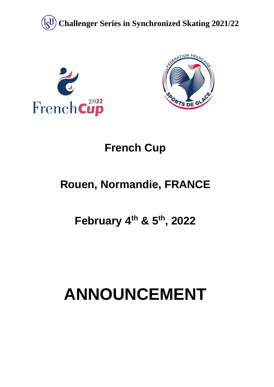





## **French Cup**

## **Rouen, Normandie, FRANCE**

## **February 4 th & 5th, 2022**

# **ANNOUNCEMENT**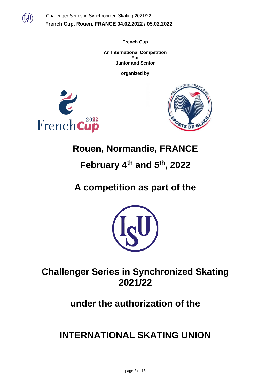

**French Cup An International Competition For Junior and Senior**

**organized by**





## **Rouen, Normandie, FRANCE**

## **February 4 th and 5 th , 2022**

## **A competition as part of the**



## **Challenger Series in Synchronized Skating 2021/22**

## **under the authorization of the**

## **INTERNATIONAL SKATING UNION**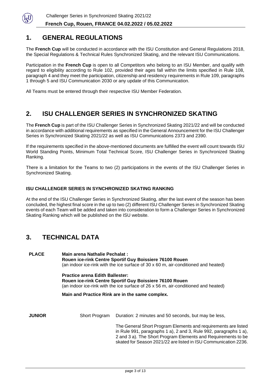

## **1. GENERAL REGULATIONS**

The **French Cup** will be conducted in accordance with the ISU Constitution and General Regulations 2018, the Special Regulations & Technical Rules Synchronized Skating, and the relevant ISU Communications.

Participation in the **French Cup** is open to all Competitors who belong to an ISU Member, and qualify with regard to eligibility according to Rule 102, provided their ages fall within the limits specified in Rule 108, paragraph 4 and they meet the participation, citizenship and residency requirements in Rule 109, paragraphs 1 through 5 and ISU Communication 2030 or any update of this Communication.

All Teams must be entered through their respective ISU Member Federation.

## **2. ISU CHALLENGER SERIES IN SYNCHRONIZED SKATING**

The **French Cup** is part of the ISU Challenger Series in Synchronized Skating 2021/22 and will be conducted in accordance with additional requirements as specified in the General Announcement for the ISU Challenger Series in Synchronized Skating 2021/22 as well as ISU Communications 2373 and 2390.

If the requirements specified in the above-mentioned documents are fulfilled the event will count towards ISU World Standing Points, Minimum Total Technical Score, ISU Challenger Series in Synchronized Skating Ranking.

There is a limitation for the Teams to two (2) participations in the events of the ISU Challenger Series in Synchronized Skating.

#### **ISU CHALLENGER SERIES IN SYNCHRONIZED SKATING RANKING**

At the end of the ISU Challenger Series in Synchronized Skating, after the last event of the season has been concluded, the highest final score in the up to two (2) different ISU Challenger Series in Synchronized Skating events of each Team will be added and taken into consideration to form a Challenger Series in Synchronized Skating Ranking which will be published on the ISU website.

## **3. TECHNICAL DATA**

| <b>PLACE</b>  | <b>Main arena Nathalie Pechalat:</b><br>Rouen ice-rink Centre Sportif Guy Boissiere 76100 Rouen<br>(an indoor ice-rink with the ice surface of 30 x 60 m, air-conditioned and heated)   |                                                                                                                                                                                                                                                                         |  |  |
|---------------|-----------------------------------------------------------------------------------------------------------------------------------------------------------------------------------------|-------------------------------------------------------------------------------------------------------------------------------------------------------------------------------------------------------------------------------------------------------------------------|--|--|
|               | <b>Practice arena Edith Ballester:</b><br>Rouen ice-rink Centre Sportif Guy Boissiere 76100 Rouen<br>(an indoor ice-rink with the ice surface of 26 x 56 m, air-conditioned and heated) |                                                                                                                                                                                                                                                                         |  |  |
|               | Main and Practice Rink are in the same complex.                                                                                                                                         |                                                                                                                                                                                                                                                                         |  |  |
| <b>JUNIOR</b> | Short Program                                                                                                                                                                           | Duration: 2 minutes and 50 seconds, but may be less,                                                                                                                                                                                                                    |  |  |
|               |                                                                                                                                                                                         | The General Short Program Elements and requirements are listed<br>in Rule 991, paragraphs 1 a), 2 and 3, Rule 992, paragraphs 1 a),<br>2 and 3 a). The Short Program Elements and Requirements to be<br>skated for Season 2021/22 are listed in ISU Communication 2236. |  |  |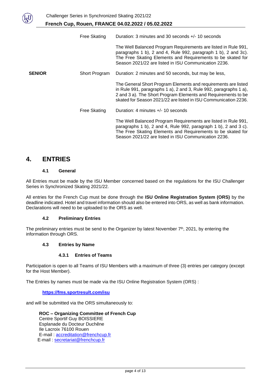|               | Free Skating  | Duration: 3 minutes and 30 seconds +/- 10 seconds                                                                                                                                                                                                                       |
|---------------|---------------|-------------------------------------------------------------------------------------------------------------------------------------------------------------------------------------------------------------------------------------------------------------------------|
|               |               | The Well Balanced Program Requirements are listed in Rule 991,<br>paragraphs 1 b), 2 and 4, Rule 992, paragraph 1 b), 2 and 3c).<br>The Free Skating Elements and Requirements to be skated for<br>Season 2021/22 are listed in ISU Communication 2236.                 |
| <b>SENIOR</b> | Short Program | Duration: 2 minutes and 50 seconds, but may be less,                                                                                                                                                                                                                    |
|               |               | The General Short Program Elements and requirements are listed<br>in Rule 991, paragraphs 1 a), 2 and 3, Rule 992, paragraphs 1 a),<br>2 and 3 a). The Short Program Elements and Requirements to be<br>skated for Season 2021/22 are listed in ISU Communication 2236. |
|               | Free Skating  | Duration: 4 minutes +/- 10 seconds                                                                                                                                                                                                                                      |
|               |               | The Well Balanced Program Requirements are listed in Rule 991,<br>paragraphs 1 b), 2 and 4, Rule 992, paragraph 1 b), 2 and 3 c).<br>The Free Skating Elements and Requirements to be skated for<br>Season 2021/22 are listed in ISU Communication 2236.                |

### **4. ENTRIES**

#### **4.1 General**

All Entries must be made by the ISU Member concerned based on the regulations for the ISU Challenger Series in Synchronized Skating 2021/22.

All entries for the French Cup must be done through the **ISU Online Registration System (ORS)** by the deadline indicated. Hotel and travel information should also be entered into ORS, as well as bank information. Declarations will need to be uploaded to the ORS as well.

#### **4.2 Preliminary Entries**

The preliminary entries must be send to the Organizer by latest November  $7<sup>th</sup>$ , 2021, by entering the information through ORS.

#### **4.3 Entries by Name**

#### **4.3.1 Entries of Teams**

Participation is open to all Teams of ISU Members with a maximum of three (3) entries per category (except for the Host Member).

The Entries by names must be made via the ISU Online Registration System (ORS) :

#### **<https://fms.sportresult.com/isu>**

and will be submitted via the ORS simultaneously to:

**ROC – Organizing Committee of French Cup** Centre Sportif Guy BOISSIERE Esplanade du Docteur Duchêne Ile Lacroix 76100 Rouen E-mail : [accreditation@frenchcup.fr](mailto:accreditation@frenchcup.fr) E-mail : secretariat@frenchcup.fr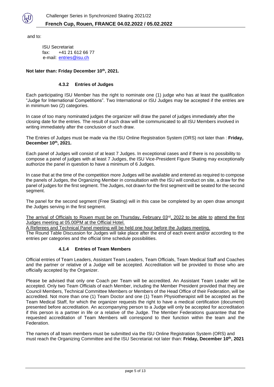

and to:

ISU Secretariat fax: +41 21 612 66 77 e-mail: [entries@isu.ch](mailto:entries@isu.ch)

#### **Not later than: Friday December 10th, 2021.**

#### **4.3.2 Entries of Judges**

Each participating ISU Member has the right to nominate one (1) judge who has at least the qualification "Judge for International Competitions". Two International or ISU Judges may be accepted if the entries are in minimum two (2) categories.

In case of too many nominated judges the organizer will draw the panel of judges immediately after the closing date for the entries. The result of such draw will be communicated to all ISU Members involved in writing immediately after the conclusion of such draw.

The Entries of Judges must be made via the ISU Online Registration System (ORS) not later than : **Friday, December 10th, 2021.**

Each panel of Judges will consist of at least 7 Judges. In exceptional cases and if there is no possibility to compose a panel of judges with at least 7 Judges, the ISU Vice-President Figure Skating may exceptionally authorize the panel in question to have a minimum of 6 Judges.

In case that at the time of the competition more Judges will be available and entered as required to compose the panels of Judges, the Organizing Member in consultation with the ISU will conduct on site, a draw for the panel of judges for the first segment. The Judges, not drawn for the first segment will be seated for the second segment.

The panel for the second segment (Free Skating) will in this case be completed by an open draw amongst the Judges serving in the first segment.

The arrival of Officials to Rouen must be on Thursday, February 03<sup>rd</sup>, 2022 to be able to attend the first Judges meeting at 05.00PM at the Official Hotel.

A Referees and Technical Panel meeting will be held one hour before the Judges meeting.

The Round Table Discussion for Judges will take place after the end of each event and/or according to the entries per categories and the official time schedule possibilities.

#### **4.1.4 Entries of Team Members**

Official entries of Team Leaders, Assistant Team Leaders, Team Officials, Team Medical Staff and Coaches and the partner or relative of a Judge will be accepted. Accreditation will be provided to those who are officially accepted by the Organizer.

Please be advised that only one Coach per Team will be accredited. An Assistant Team Leader will be accepted. Only two Team Officials of each Member, including the Member President provided that they are Council Members, Technical Committee Members or Members of the Head Office of their Federation, will be accredited. Not more than one (1) Team Doctor and one (1) Team Physiotherapist will be accepted as the Team Medical Staff, for which the organizer requests the right to have a medical certification (document) presented before accreditation. An accompanying person to a Judge will only be accepted for accreditation if this person is a partner in life or a relative of the Judge. The Member Federations guarantee that the requested accreditation of Team Members will correspond to their function within the team and the Federation.

The names of all team members must be submitted via the ISU Online Registration System (ORS) and must reach the Organizing Committee and the ISU Secretariat not later than: **Friday, December 10th , 2021**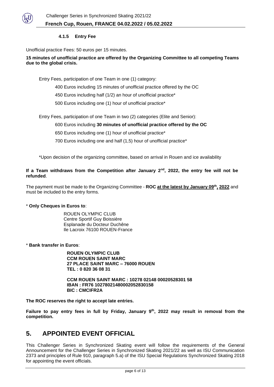

#### **4.1.5 Entry Fee**

Unofficial practice Fees: 50 euros per 15 minutes.

**15 minutes of unofficial practice are offered by the Organizing Committee to all competing Teams due to the global crisis.**

Entry Fees, participation of one Team in one (1) category:

- 400 Euros including 15 minutes of unofficial practice offered by the OC
- 450 Euros including half (1/2) an hour of unofficial practice\*
- 500 Euros including one (1) hour of unofficial practice\*

Entry Fees, participation of one Team in two (2) categories (Elite and Senior):

- 600 Euros including **30 minutes of unofficial practice offered by the OC**
- 650 Euros including one (1) hour of unofficial practice\*
- 700 Euros including one and half (1,5) hour of unofficial practice\*

\*Upon decision of the organizing committee, based on arrival in Rouen and ice availability

#### **If a Team withdraws from the Competition after January 2nd, 2022, the entry fee will not be refunded**.

The payment must be made to the Organizing Committee - **ROC at the latest by January 09th , 2022** and must be included to the entry forms.

#### \* **Only Cheques in Euros to**:

ROUEN OLYMPIC CLUB Centre Sportif Guy Boissière Esplanade du Docteur Duchêne Ile Lacroix 76100 ROUEN-France

\* **Bank transfer in Euros**:

**ROUEN OLYMPIC CLUB CCM ROUEN SAINT MARC 27 PLACE SAINT MARC – 76000 ROUEN TEL : 0 820 36 08 31**

**CCM ROUEN SAINT MARC : 10278 02148 00020528301 58 IBAN : FR76 10278021480002052830158 BIC : CMCIFR2A**

**The ROC reserves the right to accept late entries.**

**Failure to pay entry fees in full by Friday, January 9 th, 2022 may result in removal from the competition.**

### **5. APPOINTED EVENT OFFICIAL**

This Challenger Series in Synchronized Skating event will follow the requirements of the General Announcement for the Challenger Series in Synchronized Skating 2021/22 as well as ISU Communication 2373 and principles of Rule 910, paragraph 5.a) of the ISU Special Regulations Synchronized Skating 2018 for appointing the event officials.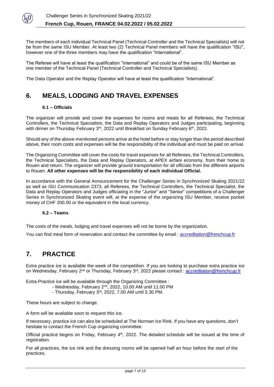

The members of each individual Technical Panel (Technical Controller and the Technical Specialists) will not be from the same ISU Member. At least two (2) Technical Panel members will have the qualification "ISU", however one of the three members may have the qualification "International".

The Referee will have at least the qualification "International" and could be of the same ISU Member as one member of the Technical Panel (Technical Controller and Technical Specialists).

The Data Operator and the Replay Operator will have at least the qualification "International".

## **6. MEALS, LODGING AND TRAVEL EXPENSES**

### **6.1 – Officials**

The organizer will provide and cover the expenses for rooms and meals for all Referees, the Technical Controllers, the Technical Specialists, the Data and Replay Operators and Judges participating, beginning with dinner on Thursday February 3<sup>rd</sup>, 2022 until Breakfast on Sunday February 6<sup>th</sup>, 2022.

Should any of the above-mentioned persons arrive at the hotel before or stay longer than the period described above, their room costs and expenses will be the responsibility of the individual and must be paid on arrival.

The Organizing Committee will cover the costs for travel expenses for all Referees, the Technical Controllers, the Technical Specialists, the Data and Replay Operators, at APEX airfare economy, from their home to Rouen and return. The organizer will provide ground transportation for all officials from the different airports to Rouen. **All other expenses will be the responsibility of each individual Official.**

In accordance with the General Announcement for the Challenger Series in Synchronized Skating 2021/22 as well as ISU Communication 2373, all Referees, the Technical Controllers, the Technical Specialist, the Data and Replay Operators and Judges officiating in the "Junior" and "Senior" competitions of a Challenger Series in Synchronized Skating event will, at the expense of the organizing ISU Member, receive pocket money of CHF 200.00 or the equivalent in the local currency.

#### **6.2 – Teams**

The costs of the meals, lodging and travel expenses will not be borne by the organization.

You can find meal form of reservation and contact the committee by email : [accreditation@frenchcup.fr](mailto:accreditation@frenchcup.fr)

## **7. PRACTICE**

Extra practice ice is available the week of the competition. If you are looking to purchase extra practice ice on Wednesday, February 2<sup>nd</sup> or Thursday, February 3<sup>rd</sup>, 2022 please contact : <u>accreditation@frenchcup.fr</u>

Extra Practice ice will be available through the Organizing Committee :

- Wednesday, February 2<sup>nd</sup>, 2022, 10.00 AM until 11.00 PM
	- Thursday, February 3rd , 2022, 7.00 AM until 5.30 PM.

These hours are subject to change.

A form will be available soon to request this ice.

If necessary, practice ice can also be scheduled at The Norman Ice Rink. If you have any questions, don't hesitate to contact the French Cup organizing committee.

Official practice begins on Friday, February 4<sup>th</sup>, 2022. The detailed schedule will be issued at the time of registration.

For all practices, the ice rink and the dressing rooms will be opened half an hour before the start of the practices.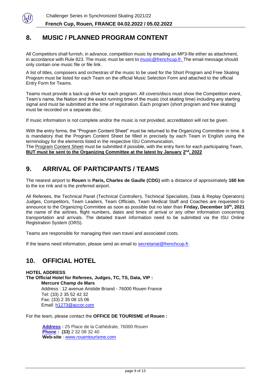

## **8. MUSIC / PLANNED PROGRAM CONTENT**

All Competitors shall furnish, in advance, competition music by emailing an MP3-file either as attachment, in accordance with Rule 823. The music must be sent to [music@frenchcup.fr.](mailto:music@frenchcup.fr) The email message should only contain one music file or file link.

A list of titles, composers and orchestras of the music to be used for the Short Program and Free Skating Program must be listed for each Team on the official Music Selection Form and attached to the official Entry Form for Teams.

Teams must provide a back-up drive for each program. All covers/discs must show the Competition event, Team's name, the Nation and the exact running time of the music (not skating time) including any starting signal and must be submitted at the time of registration. Each program (short program and free skating) must be recorded on a separate disc.

If music information is not complete and/or the music is not provided, accreditation will not be given.

With the entry forms, the "Program Content Sheet" must be returned to the Organizing Committee in time. It is mandatory that the Program Content Sheet be filled in precisely by each Team in English using the terminology for the elements listed in the respective ISU Communication. The Program Content Sheet must be submitted if possible, with the entry form for each participating Team,

**BUT** must be sent to the Organizing Committee at the latest by January 2<sup>nd</sup>, 2022

## **9. ARRIVAL OF PARTICIPANTS / TEAMS**

The nearest airport to **Rouen** is **Paris, Charles de Gaulle (CDG)** with a distance of approximately **160 km**  to the ice rink and is the preferred airport.

All Referees, the Technical Panel (Technical Controllers, Technical Specialists, Data & Replay Operators) Judges, Competitors, Team Leaders, Team Officials, Team Medical Staff and Coaches are requested to announce to the Organizing Committee as soon as possible but no later than **Friday, December 10th, 2021** the name of the airlines, flight numbers, dates and times of arrival or any other information concerning transportation and arrivals. The detailed travel information need to be submitted via the ISU Online Registration System (ORS).

Teams are responsible for managing their own travel and associated costs.

If the teams need information, please send an email to secretariat@frenchcup.fr.

## **10. OFFICIAL HOTEL**

**HOTEL ADDRESS The Official Hotel for Referees, Judges, TC, TS, Data, VIP : Mercure Champ de Mars** Address : 12 avenue Aristide Briand - 76000 Rouen France Tel: (33) 2 35 52 42 32 Fax: (33) 2 35 08 15 06 Email: h1273@accor.com

For the team, please contact the **OFFICE DE TOURISME of Rouen :**

**[Address](https://www.google.com/search?client=safari&rls=en&q=office+de+tourisme+de+rouen+adresse&stick=H4sIAAAAAAAAAOPgE-LWT9c3LM8wSTMxNdKSzU620s_JT04syczPgzOsElNSilKLixexKuenpWUmpyqkpCqU5JcWZRbngtlF-aWpeQqJYEWpADbCWstUAAAA&ludocid=2890988955949065790&sa=X&ved=2ahUKEwivkODg9YDlAhUDqxoKHVejCBQQ6BMwEHoECBAQAw) :** 25 Place de la Cathédrale, 76000 Rouen **[Phone](https://www.google.com/search?client=safari&rls=en&q=office+de+tourisme+de+rouen+t%C3%A9l%C3%A9phone&ludocid=2890988955949065790&sa=X&ved=2ahUKEwivkODg9YDlAhUDqxoKHVejCBQQ6BMwEnoECBAQDg) : (33)** 2 32 08 32 40 **Web-site** : [www.rouentourisme.com](http://www.rouentourisme.com/)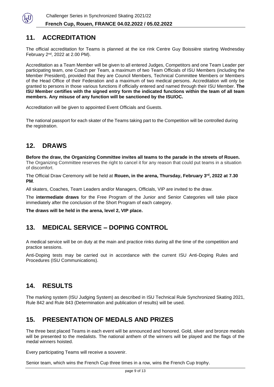

## **11. ACCREDITATION**

The official accreditation for Teams is planned at the ice rink Centre Guy Boissière starting Wednesday February 2nd, 2022 at 2.00 PM).

Accreditation as a Team Member will be given to all entered Judges, Competitors and one Team Leader per participating team, one Coach per Team, a maximum of two Team Officials of ISU Members (including the Member President), provided that they are Council Members, Technical Committee Members or Members of the Head Office of their Federation and a maximum of two medical persons. Accreditation will only be granted to persons in those various functions if officially entered and named through their ISU Member. **The ISU Member certifies with the signed entry form the indicated functions within the team of all team members. Any misuse of any function will be sanctioned by the ISU/OC.**

Accreditation will be given to appointed Event Officials and Guests.

The national passport for each skater of the Teams taking part to the Competition will be controlled during the registration.

## **12. DRAWS**

**Before the draw, the Organizing Committee invites all teams to the parade in the streets of Rouen.**  The Organizing Committee reserves the right to cancel it for any reason that could put teams in a situation of discomfort.

The Official Draw Ceremony will be held at **Rouen, in the arena, Thursday, February 3 rd, 2022 at 7.30 PM**.

All skaters, Coaches, Team Leaders and/or Managers, Officials, VIP are invited to the draw.

The **intermediate draws** for the Free Program of the Junior and Senior Categories will take place immediately after the conclusion of the Short Program of each category.

**The draws will be held in the arena, level 2, VIP place.**

## **13. MEDICAL SERVICE – DOPING CONTROL**

A medical service will be on duty at the main and practice rinks during all the time of the competition and practice sessions.

Anti-Doping tests may be carried out in accordance with the current ISU Anti-Doping Rules and Procedures (ISU Communications).

## **14. RESULTS**

The marking system (ISU Judging System) as described in ISU Technical Rule Synchronized Skating 2021, Rule 842 and Rule 843 (Determination and publication of results) will be used.

## **15. PRESENTATION OF MEDALS AND PRIZES**

The three best placed Teams in each event will be announced and honored. Gold, silver and bronze medals will be presented to the medalists. The national anthem of the winners will be played and the flags of the medal winners hoisted.

Every participating Teams will receive a souvenir.

Senior team, which wins the French Cup three times in a row, wins the French Cup trophy.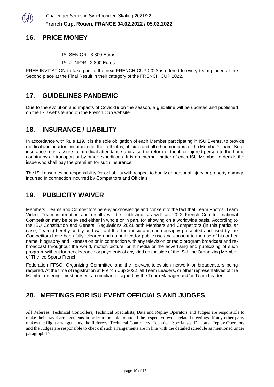

## **16. PRICE MONEY**

- 1 ST SENIOR : 3.300 Euros
- 1 ST JUNIOR : 2.800 Euros

FREE INVITATION to take part to the next FRENCH CUP 2023 is offered to every team placed at the Second place at the Final Result in their category of the FRENCH CUP 2022.

## **17. GUIDELINES PANDEMIC**

Due to the evolution and impacts of Covid-19 on the season, a guideline will be updated and published on the ISU website and on the French Cup website.

## **18. INSURANCE / LIABILITY**

In accordance with Rule 119, it is the sole obligation of each Member participating in ISU Events, to provide medical and accident insurance for their athletes, officials and all other members of the Member's team. Such insurance must assure full medical attendance and also the return of the ill or injured person to the home country by air transport or by other expeditious. It is an internal matter of each ISU Member to decide the issue who shall pay the premium for such insurance.

The ISU assumes no responsibility for or liability with respect to bodily or personal injury or property damage incurred in connection incurred by Competitors and Officials.

## **19. PUBLICITY WAIVER**

Members, Teams and Competitors hereby acknowledge and consent to the fact that Team Photos, Team Video, Team information and results will be published, as well as 2022 French Cup International Competition may be televised either in whole or in part, for showing on a worldwide basis. According to the ISU Constitution and General Regulations 2021 both Members and Competitors (in this particular case, Teams) hereby certify and warrant that the music and choreography presented and used by the Competitors have been fully cleared and authorized for public use and consent to the use of his or her name, biography and likeness on or in connection with any television or radio program broadcast and rebroadcast throughout the world, motion picture, print media or the advertising and publicizing of such program, without further clearance or payments of any kind on the side of the ISU, the Organizing Member of The Ice Sports French

Federation FFSG, Organizing Committee and the relevant television network or broadcasters being required. At the time of registration at French Cup 2022, all Team Leaders, or other representatives of the Member entering, must present a compliance signed by the Team Manager and/or Team Leader.

## **20. MEETINGS FOR ISU EVENT OFFICIALS AND JUDGES**

All Referees, Technical Controllers, Technical Specialists, Data and Replay Operators and Judges are responsible to make their travel arrangements in order to be able to attend the respective event related meetings. If any other party makes the flight arrangements, the Referees, Technical Controllers, Technical Specialists, Data and Replay Operators and the Judges are responsible to check if such arrangements are in line with the detailed schedule as mentioned under paragraph 17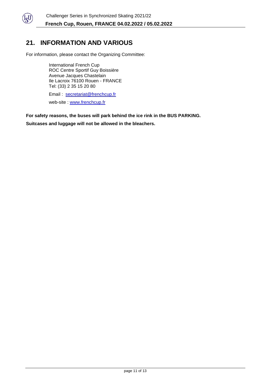

## **21. INFORMATION AND VARIOUS**

For information, please contact the Organizing Committee:

International French Cup ROC Centre Sportif Guy Boissière Avenue Jacques Chastelain Ile Lacroix 76100 Rouen - FRANCE Tel: (33) 2 35 15 20 80

Email : [secretariat@frenchcup.fr](mailto:secretariat@frenchcup.fr) web-site : [www.frenchcup.fr](http://www.frenchcup.fr/)

**For safety reasons, the buses will park behind the ice rink in the BUS PARKING. Suitcases and luggage will not be allowed in the bleachers.**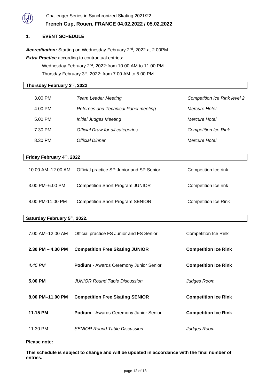

#### **1. EVENT SCHEDULE**

**Thursday February 3 rd, 2022**

Accreditation: Starting on Wednesday February 2<sup>nd</sup>, 2022 at 2.00PM.

**Extra Practice** according to contractual entries:

- Wednesday February 2<sup>nd</sup>, 2022: from 10.00 AM to 11.00 PM
- Thursday February 3<sup>rd</sup>, 2022: from 7.00 AM to 5.00 PM.

| 3.00 PM | <b>Team Leader Meeting</b>           | <b>Competition Ice Rink level 2</b> |
|---------|--------------------------------------|-------------------------------------|
| 4.00 PM | Referees and Technical Panel meeting | Mercure Hotel                       |
| 5.00 PM | <b>Initial Judges Meeting</b>        | Mercure Hotel                       |
| 7.30 PM | Official Draw for all categories     | <b>Competition Ice Rink</b>         |
| 8.30 PM | <b>Official Dinner</b>               | Mercure Hotel                       |
|         |                                      |                                     |

#### **Friday February 4 th, 2022**

| 10.00 AM-12.00 AM | Official practice SP Junior and SP Senior | Competition Ice rink        |
|-------------------|-------------------------------------------|-----------------------------|
| 3.00 PM-6.00 PM   | <b>Competition Short Program JUNIOR</b>   | Competition Ice rink        |
| 8.00 PM-11.00 PM  | <b>Competition Short Program SENIOR</b>   | <b>Competition Ice Rink</b> |

#### **Saturday February 5 th, 2022.**

| 7.00 AM-12.00 AM      | Official practice FS Junior and FS Senior     | Competition Ice Rink        |
|-----------------------|-----------------------------------------------|-----------------------------|
| $2.30$ PM $- 4.30$ PM | <b>Competition Free Skating JUNIOR</b>        | <b>Competition Ice Rink</b> |
| 4.45 PM               | <b>Podium</b> - Awards Ceremony Junior Senior | <b>Competition Ice Rink</b> |
| 5.00 PM               | <b>JUNIOR Round Table Discussion</b>          | Judges Room                 |
| 8.00 PM-11.00 PM      | <b>Competition Free Skating SENIOR</b>        | <b>Competition Ice Rink</b> |
| 11.15 PM              | <b>Podium</b> - Awards Ceremony Junior Senior | <b>Competition Ice Rink</b> |
| 11.30 PM              | <b>SENIOR Round Table Discussion</b>          | Judges Room                 |

#### **Please note:**

**This schedule is subject to change and will be updated in accordance with the final number of entries.**